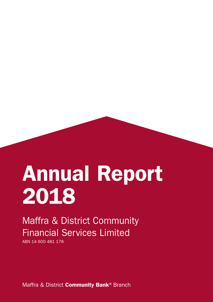# Annual Report 2018

Maffra & District Community Financial Services Limited

ABN 14 600 481 178

Maffra & District **Community Bank®** Branch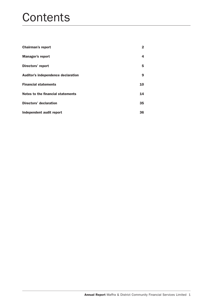# **Contents**

| <b>Chairman's report</b>           | $\mathbf{2}$ |
|------------------------------------|--------------|
| <b>Manager's report</b>            | 4            |
| Directors' report                  | 5            |
| Auditor's independence declaration | 9            |
| <b>Financial statements</b>        | 10           |
| Notes to the financial statements  | 14           |
| Directors' declaration             | 35           |
| Independent audit report           | 36           |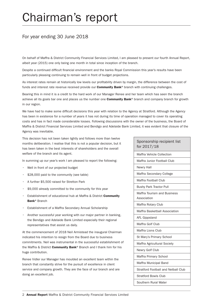# Chairman's report

# For year ending 30 June 2018

On behalf of Maffra & District Community Financial Services Limited, I am pleased to present our fourth Annual Report, albeit year (2015) one only being one month in total since inception of the branch.

Despite a continued difficult financial environment and the banks Royal Commission this year's results have been particularly pleasing continuing to remain well in front of budget projections.

As interest rates remain at historically low levels our profitability driven by margin, the difference between the cost of funds and interest rate revenue received provide our **Community Bank**<sup>®</sup> branch with continuing challenges.

Bearing this in mind it is a credit to the hard work of our Manager Renee and her team which has seen the branch achieve all its goals bar one and places us the number one **Community Bank®** branch and company branch for growth in our region.

We have had to make some difficult decisions this year with relation to the Agency at Stratford. Although the Agency has been in existence for a number of years it has not during its time of operation managed to cover its operating costs and has in fact made considerable losses. Following discussions with the owner of the business, the Board of Maffra & District Financial Services Limited and Bendigo and Adelaide Bank Limited, it was evident that closure of the Agency was inevitable.

This decision has not been taken lightly and follows more than twelve months deliberation. I realise that this is not a popular decision, but it has been taken in the best interests of shareholders and the overall welfare of the branch and its agent.

In summing up our year's work I am pleased to report the following:

- Well in front of our projected budget
- \$28,000 paid to the community (see table)
- A further \$5,500 raised for Stretton Park
- \$9,000 already committed to the community for this year
- Establishment of educational hub at Maffra & District Community Bank® Branch
- Establishment of a Maffra Secondary Annual Scholarship
- Another successful year working with our major partner in banking, the Bendigo and Adelaide Bank Limited especially their regional representatives that assist us daily.

At the commencement of 2018 Neil Armistead the inaugural Chairman indicated his intention to resign from the Board due to business commitments. Neil was instrumental in the successful establishment of the Maffra & District Community Bank® Branch and I thank him for his huge contribution.

Renee Vidler our Manager has moulded an excellent team within the branch that constantly strive for the pursuit of excellence in client service and company growth. They are the face of our branch and are doing an excellent job.

for 2017/18 Maffra Vehicle Collection Maffra Junior Football Club Newry Hall Maffra Secondary College Maffra Football Club Bushy Park Tractor Pull Maffra Tourism and Business Association Maffra Rotary Club Maffra Basketball Association AFL Gippsland Maffra Golf Club Maffra Lions Club St Mary's Primary School Maffra Agricultural Society Newry Golf Club Maffra Primary School Maffra Municipal Band Stratford Football and Netball Club Stratford Bowls Club Southern Rural Water

Sponsorship recipient list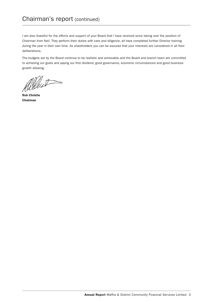I am also thankful for the efforts and support of your Board that I have received since taking over the position of Chairman from Neil. They perform their duties with care and diligence, all have completed further Director training during the year in their own time. As shareholders you can be assured that your interests are considered in all their deliberations.

The budgets set by the Board continue to be realistic and achievable and the Board and branch team are committed to achieving our goals and paying our first dividend, good governance, economic circumstances and good business growth allowing.

Allent-

Rob Christie Chairman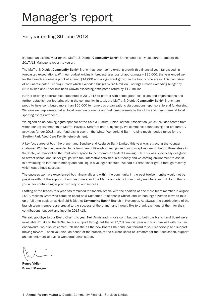# Manager's report

# For year ending 30 June 2018

It's been an exciting year for the Maffra & District Community Bank® Branch and it's my pleasure to present the 2017/18 Manager's report to you all.

The Maffra & District Community Bank® Branch has seen some exciting growth this financial year, far exceeding forecasted expectations. With our budget originally forecasting a loss of approximately \$35,000, the year ended well for the branch showing a profit of around \$14,000 and a significant growth in the key income areas. This comprised of an unanticipated Lending Growth which exceeded budget by \$2.4 million, Footings Growth exceeding budget by \$2.2 million and Other Business Growth exceeding anticipated return by \$1.3 million.

Further exciting opportunities presented in 2017/18 to partner with some great local clubs and organisations and further establish our footprint within the community. In total, the Maffra & District Community Bank® Branch are proud to have contributed more than \$50,000 to numerous organisations via donations, sponsorship and fundraising. We were well represented at all local community events and welcomed warmly by the clubs and committees at local sporting events attended.

We signed on as naming rights sponsor of the Sale & District Junior Football Association (which includes teams from within our key catchments in Maffra, Heyfield, Stratford and Briagolong). We commenced fundraising and preparatory activities for our 2018 major fundraising event – the Winter Wonderland Ball – raising much needed funds for the Stretton Park Aged Care Facility refurbishment.

A key focus area of both the branch and Bendigo and Adelaide Bank Limited this year was attracting the younger customer. With funding awarded to us from head office whom recognised our concept as one of the top three ideas in the state, we remodelled the front office space to incorporate a Student Banking Hub. This was specifically designed to attract school and kinder groups with fun, interactive activities in a friendly and welcoming environment to assist in developing an interest in money and banking in a younger clientele. We had our first kinder group through recently, which was a huge success.

The success we have experienced both financially and within the community in the past twelve months would not be possible without the support of our customers and the Maffra and district community members and I'd like to thank you all for contributing in your own way to our success.

Staffing at the branch this year has remained reasonably stable with the addition of one more team member in August 2017, Melissa Grant who came on board as a Customer Relationship Officer, and we had Ingrid Komen leave to take up a full-time position at Heyfield & District Community Bank® Branch in November. As always, the contributions of the branch team members are crucial to the success of the branch and I would like to thank each one of them for their contributions, support and input in 2017/18.

We said goodbye to our Board Chair this year, Neil Armistead, whose contributions to both the branch and Board were invaluable. I'd like to thank Neil for his support throughout the 2017/18 financial year and wish him well with his new endeavours. We also welcomed Rob Christie as the new Board Chair and look forward to your leadership and support moving forward. Thank you also, on behalf of the branch, to the current Board of Directors for their dedication, support and commitment to such a wonderful organisation.

Renee Vidler Branch Manager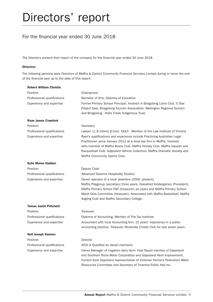# Directors' report

# For the financial year ended 30 June 2018

The Directors present their report of the company for the financial year ended 30 June 2018.

# Directors

The following persons were Directors of Maffra & District Community Financial Services Limited during or since the end of the financial year up to the date of this report:

| <b>Robert William Christie</b> |                                                                                                                                                                                                                                                                                                                                                 |
|--------------------------------|-------------------------------------------------------------------------------------------------------------------------------------------------------------------------------------------------------------------------------------------------------------------------------------------------------------------------------------------------|
| Position                       | Chairperson                                                                                                                                                                                                                                                                                                                                     |
| Professional qualifications    | Bachelor of Arts, Diploma of Education                                                                                                                                                                                                                                                                                                          |
| Experience and expertise       | Former Primary School Principal. Involved in Briagolong Lions Club, 5 Star<br>Project Sale, Briagolong Tourism Association, Wellington Regional Tourism<br>and Briagolong - Halls Creek Indigenous Trust.                                                                                                                                       |
| <b>Ryan James Crawford</b>     |                                                                                                                                                                                                                                                                                                                                                 |
| Position                       | Secretary                                                                                                                                                                                                                                                                                                                                       |
| Professional qualifications    | Lawyer-LL.B (Hons) B.Com. GDLP - Member of the Law Institute of Victoria                                                                                                                                                                                                                                                                        |
| Experience and expertise       | Ryan's qualifications and experience include Practicing Australian Legal<br>Practitioner since January 2012 at a local law firm in Maffra. Involved<br>with/member of Maffra Bowls Club, Maffra Hockey Club, Maffra Squash and<br>Racquetball Club, Gippsland Vehicle Collection, Maffra Dramatic Society and<br>Maffra Community Sports Club.  |
| <b>Kylie Maree Hadden</b>      |                                                                                                                                                                                                                                                                                                                                                 |
| Position                       | Deputy Chair                                                                                                                                                                                                                                                                                                                                    |
| Professional qualifications    | <b>Advanced Diploma Hospitality Studies</b>                                                                                                                                                                                                                                                                                                     |
| Experience and expertise       | Owner operator of a local Jewellers (2000- present).<br>Maffra Playgroup (secretary) three years. Glassford Kindergarten (President).<br>Maffra Primary School P&F (treasurer) six years and Maffra Primary School<br>Mardi Gras Committee (treasurer). Associated with Maffra Basketball, Maffra<br>Angling Club and Maffra Secondary College. |
| <b>Tomas Justin Pritchett</b>  |                                                                                                                                                                                                                                                                                                                                                 |
| Position                       | <b>Treasurer</b>                                                                                                                                                                                                                                                                                                                                |
| Professional qualifications    | Diploma of Accounting, Member of The Tax Institute                                                                                                                                                                                                                                                                                              |
| Experience and expertise       | Accountant with local Accounting firm, 15 years' experience in a public<br>accounting practice. Treasurer Stradroke Cricket Club for last seven years.                                                                                                                                                                                          |
| <b>Neil Joseph Gannon</b>      |                                                                                                                                                                                                                                                                                                                                                 |
| Position                       | <b>Director</b>                                                                                                                                                                                                                                                                                                                                 |
| Professional qualifications    | AICD & Qualified as diesel mechanic.                                                                                                                                                                                                                                                                                                            |
| Experience and expertise       | Owner Manager of irrigation dairy farm. Past Board member of Gippsland<br>and Southern Rural Water Corporation and Gippsland Herd Improvement.<br>Current East Gippsland representative of Victorian Farmers Federation Water<br>Resources Committee and Secretary of Tinamba Public Hall Inc.                                                  |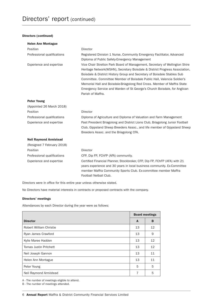### Directors (continued)

| <b>Helen Ann Montague</b>     |                                                                                                                                                                                                                                                                                                                                                                                                                                                                                               |
|-------------------------------|-----------------------------------------------------------------------------------------------------------------------------------------------------------------------------------------------------------------------------------------------------------------------------------------------------------------------------------------------------------------------------------------------------------------------------------------------------------------------------------------------|
| Position                      | <b>Director</b>                                                                                                                                                                                                                                                                                                                                                                                                                                                                               |
| Professional qualifications   | Registered Division 1 Nurse, Community Emergency Facilitator, Advanced                                                                                                                                                                                                                                                                                                                                                                                                                        |
|                               | Diploma of Public Safety-Emergency Management                                                                                                                                                                                                                                                                                                                                                                                                                                                 |
| Experience and expertise      | Vice Chair Stretton Park Board of Management, Secretary of Wellington Shire<br>Heritage Network(WSHN), Secretary Boisdale & District Progress Association,<br>Boisdale & District History Group and Secretary of Boisdale Stables Sub<br>Committee. Committee Member of Boisdale Public Hall, Valencia Soldier's<br>Memorial Hall and Boisdale-Briagolong Red Cross. Member of Maffra State<br>Emergency Service and Warden of St George's Church Boisdale, for Anglican<br>Parish of Maffra. |
| <b>Peter Young</b>            |                                                                                                                                                                                                                                                                                                                                                                                                                                                                                               |
| (Appointed 26 March 2018)     |                                                                                                                                                                                                                                                                                                                                                                                                                                                                                               |
| Position                      | <b>Director</b>                                                                                                                                                                                                                                                                                                                                                                                                                                                                               |
| Professional qualifications   | Diploma of Agriculture and Diploma of Valuation and Farm Management                                                                                                                                                                                                                                                                                                                                                                                                                           |
| Experience and expertise      | Past President Briagolong and District Lions Club, Briagolong Junior Football<br>Club, Gippsland Sheep Breeders Assoc., and life member of Gippsland Sheep<br>Breeders Assoc. and the Briagolong CFA.                                                                                                                                                                                                                                                                                         |
| <b>Neil Raymond Armistead</b> |                                                                                                                                                                                                                                                                                                                                                                                                                                                                                               |
| (Resigned 7 February 2018)    |                                                                                                                                                                                                                                                                                                                                                                                                                                                                                               |
| Position                      | <b>Director</b>                                                                                                                                                                                                                                                                                                                                                                                                                                                                               |
| Professional qualifications   | CFP, Dip FP, FChFP (AFA) community.                                                                                                                                                                                                                                                                                                                                                                                                                                                           |
| Experience and expertise      | Certified Financial Planner, Stockbroker, CFP, Dip FP, FChFP (AFA) with 21<br>years experience and 30 years in local business community. Ex-Committee<br>member Maffra Community Sports Club. Ex-committee member Maffra<br>Football Netball Club.                                                                                                                                                                                                                                            |

Directors were in office for this entire year unless otherwise stated.

No Directors have material interests in contracts or proposed contracts with the company.

# Directors' meetings

Attendances by each Director during the year were as follows:

|                               | <b>Board meetings</b> |    |
|-------------------------------|-----------------------|----|
| <b>Director</b>               | A                     | B  |
| Robert William Christie       | 13                    | 12 |
| Ryan James Crawford           | 13                    | 9  |
| Kylie Maree Hadden            | 13                    | 12 |
| <b>Tomas Justin Pritchett</b> | 13                    | 12 |
| Neil Joseph Gannon            | 13                    | 11 |
| Helen Ann Montague            | 13                    | 11 |
| Peter Young                   | 5                     | 5  |
| Neil Raymond Armistead        | 7                     | 5  |

A - The number of meetings eligible to attend.

B - The number of meetings attended.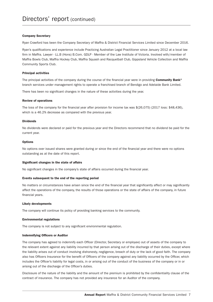### Company Secretary

Ryan Crawford has been the Company Secretary of Maffra & District Financial Services Limited since December 2016.

Ryan's qualifications and experience include Practicing Australian Legal Practitioner since January 2012 at a local law firm in Maffra. Lawyer - LL.B (Hons) B.Com. GDLP - Member of the Law Institute of Victoria. Involved with/member of Maffra Bowls Club, Maffra Hockey Club, Maffra Squash and Racquetball Club, Gippsland Vehicle Collection and Maffra Community Sports Club.

#### Principal activities

The principal activities of the company during the course of the financial year were in providing Community Bank® branch services under management rights to operate a franchised branch of Bendigo and Adelaide Bank Limited.

There has been no significant changes in the nature of these activities during the year.

#### Review of operations

The loss of the company for the financial year after provision for income tax was \$(26,075) (2017 loss: \$48,436), which is a 46.2% decrease as compared with the previous year.

#### Dividends

No dividends were declared or paid for the previous year and the Directors recommend that no dividend be paid for the current year.

#### **Options**

No options over issued shares were granted during or since the end of the financial year and there were no options outstanding as at the date of this report.

#### Significant changes in the state of affairs

No significant changes in the company's state of affairs occurred during the financial year.

#### Events subsequent to the end of the reporting period

No matters or circumstances have arisen since the end of the financial year that significantly affect or may significantly affect the operations of the company, the results of those operations or the state of affairs of the company, in future financial years.

#### Likely developments

The company will continue its policy of providing banking services to the community.

#### Environmental regulations

The company is not subject to any significant environmental regulation.

#### Indemnifying Officers or Auditor

The company has agreed to indemnify each Officer (Director, Secretary or employee) out of assets of the company to the relevant extent against any liability incurred by that person arising out of the discharge of their duties, except where the liability arises out of conduct involving dishonesty, negligence, breach of duty or the lack of good faith. The company also has Officers Insurance for the benefit of Officers of the company against any liability occurred by the Officer, which includes the Officer's liability for legal costs, in or arising out of the conduct of the business of the company or in or arising out of the discharge of the Officer's duties.

Disclosure of the nature of the liability and the amount of the premium is prohibited by the confidentiality clause of the contract of insurance. The company has not provided any insurance for an Auditor of the company.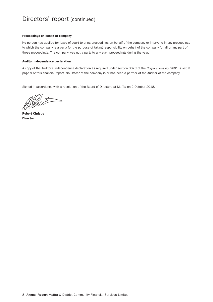# Proceedings on behalf of company

No person has applied for leave of court to bring proceedings on behalf of the company or intervene in any proceedings to which the company is a party for the purpose of taking responsibility on behalf of the company for all or any part of those proceedings. The company was not a party to any such proceedings during the year.

# Auditor independence declaration

A copy of the Auditor's independence declaration as required under section 307C of the *Corporations Act 2001* is set at page 9 of this financial report. No Officer of the company is or has been a partner of the Auditor of the company.

Signed in accordance with a resolution of the Board of Directors at Maffra on 2 October 2018.

Wellest

Robert Christie **Director**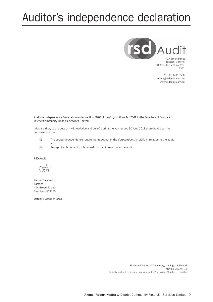# Auditor's independence declaration



PO Box 448, Bendigo, VIC, 3552

Ph: (03) 4435 3550 admin@rsdaudit.com.au www.rsdaudit.com.au

#### Auditors Independence Declaration under section 307C of the Corporations Act 2001 to the Directors of Maffra & District Community Financial Services Limited

I declare that, to the best of my knowledge and belief, during the year ended 30 June 2018 there have been no contraventions of:

- (i) The auditor independence requirements set out in the Corporations Act 2001 in relation to the audit; and
- (ii) Any applicable code of professional conduct in relation to the audit.

RSD Audit

Kathie Teasdale Partner 41A Breen Street Bendigo VIC 3550

Dated: 3 October 2018

Richmond Sinnott & Delahunty, trading as RSD Audit ABN 60 616 244 309 Liability limited by a scheme approved under Professional Standards Legislation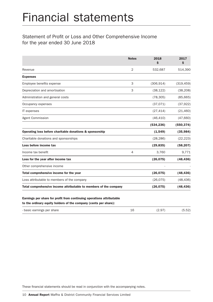# Financial statements

# Statement of Profit or Loss and Other Comprehensive Income for the year ended 30 June 2018

|                                                                   | <b>Notes</b>   | 2018<br>\$ | 2017<br>\$ |
|-------------------------------------------------------------------|----------------|------------|------------|
| Revenue                                                           | 2              | 532,687    | 514,390    |
| <b>Expenses</b>                                                   |                |            |            |
| Employee benefits expense                                         | 3              | (306, 914) | (319, 459) |
| Depreciation and amortisation                                     | 3              | (38, 122)  | (38, 208)  |
| Administration and general costs                                  |                | (78, 305)  | (85, 665)  |
| Occupancy expenses                                                |                | (37,071)   | (37, 922)  |
| IT expenses                                                       |                | (27, 414)  | (21, 460)  |
| <b>Agent Commission</b>                                           |                | (46, 410)  | (47,660)   |
|                                                                   |                | (534, 236) | (550, 374) |
| Operating loss before charitable donations & sponsorship          |                | (1, 549)   | (35, 984)  |
| Charitable donations and sponsorships                             |                | (28, 286)  | (22, 223)  |
| Loss before income tax                                            |                | (29, 835)  | (58, 207)  |
| Income tax benefit                                                | $\overline{4}$ | 3,760      | 9,771      |
| Loss for the year after income tax                                |                | (26, 075)  | (48, 436)  |
| Other comprehensive income                                        |                |            |            |
| Total comprehensive income for the year                           |                | (26, 075)  | (48, 436)  |
| Loss attributable to members of the company                       |                | (26, 075)  | (48, 436)  |
| Total comprehensive income attributable to members of the company |                | (26, 075)  | (48, 436)  |

# Earnings per share for profit from continuing operations attributable to the ordinary equity holders of the company (cents per share):

| - basic earnings per share | ے ۔ | $-\sim$ |
|----------------------------|-----|---------|
|                            |     |         |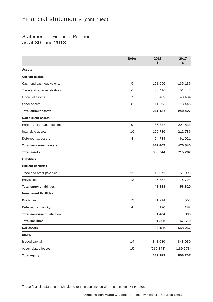# Statement of Financial Position as at 30 June 2018

|                                      | <b>Notes</b>   | 2018<br>\$ | 2017<br>\$ |
|--------------------------------------|----------------|------------|------------|
| <b>Assets</b>                        |                |            |            |
| <b>Current assets</b>                |                |            |            |
| Cash and cash equivalents            | 5              | 121,056    | 135,136    |
| Trade and other receivables          | 6              | 50,416     | 51,442     |
| <b>Financial assets</b>              | $\overline{7}$ | 58,402     | 40,404     |
| Other assets                         | 8              | 11,263     | 13,445     |
| <b>Total current assets</b>          |                | 241,137    | 240,427    |
| <b>Non-current assets</b>            |                |            |            |
| Property, plant and equipment        | $\mathsf 9$    | 186,837    | 201,533    |
| Intangible assets                    | 10             | 190,786    | 212,786    |
| Deferred tax assets                  | 4              | 64,784     | 61,021     |
| <b>Total non-current assets</b>      |                | 442,407    | 475,340    |
| <b>Total assets</b>                  |                | 683,544    | 715,767    |
| <b>Liabilities</b>                   |                |            |            |
| <b>Current liabilities</b>           |                |            |            |
| Trade and other payables             | 12             | 43,071     | 51,096     |
| Provisions                           | 13             | 6,887      | 5,724      |
| <b>Total current liabilities</b>     |                | 49,958     | 56,820     |
| <b>Non-current liabilities</b>       |                |            |            |
| Provisions                           | 13             | 1,214      | 503        |
| Deferred tax liability               | 4              | 190        | 187        |
| <b>Total non-current liabilities</b> |                | 1,404      | 690        |
| <b>Total liabilities</b>             |                | 51,362     | 57,510     |
| <b>Net assets</b>                    |                | 632,182    | 658,257    |
| <b>Equity</b>                        |                |            |            |
| Issued capital                       | 14             | 848,030    | 848,030    |
| <b>Accumulated losses</b>            | 15             | (215, 848) | (189, 773) |
| <b>Total equity</b>                  |                | 632,182    | 658,257    |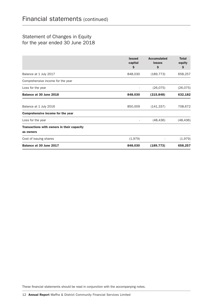# Statement of Changes in Equity for the year ended 30 June 2018

|                                                         | <b>Issued</b><br>capital<br>\$ | <b>Accumulated</b><br><b>losses</b><br>\$ | <b>Total</b><br>equity<br>\$ |
|---------------------------------------------------------|--------------------------------|-------------------------------------------|------------------------------|
| Balance at 1 July 2017                                  | 848,030                        | (189, 773)                                | 658,257                      |
| Comprehensive income for the year                       |                                |                                           |                              |
| Loss for the year                                       |                                | (26, 075)                                 | (26, 075)                    |
| Balance at 30 June 2018                                 | 848,030                        | (215, 848)                                | 632,182                      |
| Balance at 1 July 2016                                  | 850,009                        | (141, 337)                                | 708,672                      |
| Comprehensive income for the year                       |                                |                                           |                              |
| Loss for the year                                       |                                | (48, 436)                                 | (48, 436)                    |
| Transactions with owners in their capacity<br>as owners |                                |                                           |                              |
| Cost of issuing shares                                  | (1,979)                        |                                           | (1,979)                      |
| Balance at 30 June 2017                                 | 848,030                        | (189, 773)                                | 658,257                      |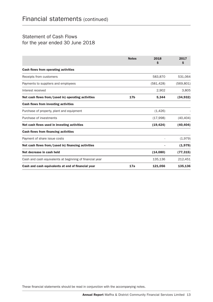# Statement of Cash Flows for the year ended 30 June 2018

|                                                          | <b>Notes</b>    | 2018<br>\$ | 2017<br>\$ |
|----------------------------------------------------------|-----------------|------------|------------|
| <b>Cash flows from operating activities</b>              |                 |            |            |
| Receipts from customers                                  |                 | 583.870    | 531,064    |
| Payments to suppliers and employees                      |                 | (581, 428) | (569, 801) |
| Interest received                                        |                 | 2,902      | 3,805      |
| Net cash flows from/(used in) operating activities       | 17 <sub>b</sub> | 5,344      | (34, 932)  |
| <b>Cash flows from investing activities</b>              |                 |            |            |
| Purchase of property, plant and equipment                |                 | (1, 426)   |            |
| Purchase of investments                                  |                 | (17,998)   | (40, 404)  |
| Net cash flows used in investing activities              |                 | (19, 424)  | (40, 404)  |
| <b>Cash flows from financing activities</b>              |                 |            |            |
| Payment of share issue costs                             |                 |            | (1,979)    |
| Net cash flows from/(used in) financing activities       |                 |            | (1,979)    |
| Net decrease in cash held                                |                 | (14,080)   | (77, 315)  |
| Cash and cash equivalents at beginning of financial year |                 | 135,136    | 212,451    |
| Cash and cash equivalents at end of financial year       | 17a             | 121,056    | 135,136    |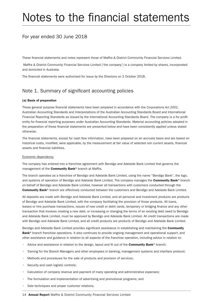# Notes to the financial statements

# For year ended 30 June 2018

These financial statements and notes represent those of Maffra & District Community Financial Services Limited.

 Maffra & District Community Financial Services Limited ('the company') is a company limited by shares, incorporated and domiciled in Australia.

The financial statements were authorised for issue by the Directors on 2 October 2018.

# Note 1. Summary of significant accounting policies

# (a) Basis of preparation

These general purpose financial statements have been prepared in accordance with the *Corporations Act 2001*, Australian Accounting Standards and Interpretations of the Australian Accounting Standards Board and International Financial Reporting Standards as issued by the International Accounting Standards Board. The company is a for profit entity for financial reporting purposes under Australian Accounting Standards. Material accounting policies adopted in the preparation of these financial statements are presented below and have been consistently applied unless stated otherwise.

The financial statements, except for cash flow information, have been prepared on an accruals basis and are based on historical costs, modified, were applicable, by the measurement at fair value of selected non current assets, financial assets and financial liabilities.

# Economic dependency

The company has entered into a franchise agreement with Bendigo and Adelaide Bank Limited that governs the management of the **Community Bank®** branch at Maffra.

The branch operates as a franchise of Bendigo and Adelaide Bank Limited, using the name "Bendigo Bank", the logo, and systems of operation of Bendigo and Adelaide Bank Limited. The company manages the Community Bank® branch on behalf of Bendigo and Adelaide Bank Limited, however all transactions with customers conducted through the Community Bank® branch are effectively conducted between the customers and Bendigo and Adelaide Bank Limited.

All deposits are made with Bendigo and Adelaide Bank Limited, and all personal and investment products are products of Bendigo and Adelaide Bank Limited, with the company facilitating the provision of those products. All loans, leases or hire purchase transactions, issues of new credit or debit cards, temporary or bridging finance and any other transaction that involves creating a new debt, or increasing or changing the terms of an existing debt owed to Bendigo and Adelaide Bank Limited, must be approved by Bendigo and Adelaide Bank Limited. All credit transactions are made with Bendigo and Adelaide Bank Limited, and all credit products are products of Bendigo and Adelaide Bank Limited.

Bendigo and Adelaide Bank Limited provides significant assistance in establishing and maintaining the Community Bank<sup>®</sup> branch franchise operations. It also continues to provide ongoing management and operational support, and other assistance and guidance in relation to all aspects of the franchise operation, including advice in relation to:

- Advice and assistance in relation to the design, layout and fit out of the **Community Bank®** branch;
- Training for the Branch Managers and other employees in banking, management systems and interface protocol;
- Methods and procedures for the sale of products and provision of services;
- Security and cash logistic controls:
- Calculation of company revenue and payment of many operating and administrative expenses;
- The formulation and implementation of advertising and promotional programs; and
- Sale techniques and proper customer relations.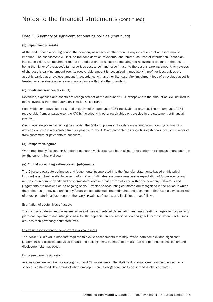# (b) Impairment of assets

At the end of each reporting period, the company assesses whether there is any indication that an asset may be impaired. The assessment will include the consideration of external and internal sources of information. If such an indication exists, an impairment test is carried out on the asset by comparing the recoverable amount of the asset, being the higher of the asset's fair value less cost to sell and value in use, to the asset's carrying amount. Any excess of the asset's carrying amount over its recoverable amount is recognised immediately in profit or loss, unless the asset is carried at a revalued amount in accordance with another Standard. Any impairment loss of a revalued asset is treated as a revaluation decrease in accordance with that other Standard.

# (c) Goods and services tax (GST)

Revenues, expenses and assets are recognised net of the amount of GST, except where the amount of GST incurred is not recoverable from the Australian Taxation Office (ATO).

Receivables and payables are stated inclusive of the amount of GST receivable or payable. The net amount of GST recoverable from, or payable to, the ATO is included with other receivables or payables in the statement of financial position.

Cash flows are presented on a gross basis. The GST components of cash flows arising from investing or financing activities which are recoverable from, or payable to, the ATO are presented as operating cash flows included in receipts from customers or payments to suppliers.

# (d) Comparative figures

When required by Accounting Standards comparative figures have been adjusted to conform to changes in presentation for the current financial year.

### (e) Critical accounting estimates and judgements

The Directors evaluate estimates and judgements incorporated into the financial statements based on historical knowledge and best available current information. Estimates assume a reasonable expectation of future events and are based on current trends and economic data, obtained both externally and within the company. Estimates and judgements are reviewed on an ongoing basis. Revision to accounting estimates are recognised in the period in which the estimates are revised and in any future periods affected. The estimates and judgements that have a significant risk of causing material adjustments to the carrying values of assets and liabilities are as follows:

# Estimation of useful lives of assets

The company determines the estimated useful lives and related depreciation and amortisation charges for its property, plant and equipment and intangible assets. The depreciation and amortisation charge will increase where useful lives are less than previously estimated lives.

### Fair value assessment of non-current physical assets

The AASB 13 Fair Value standard requires fair value assessments that may involve both complex and significant judgement and experts. The value of land and buildings may be materially misstated and potential classification and disclosure risks may occur.

# Employee benefits provision

Assumptions are required for wage growth and CPI movements. The likelihood of employees reaching unconditional service is estimated. The timing of when employee benefit obligations are to be settled is also estimated.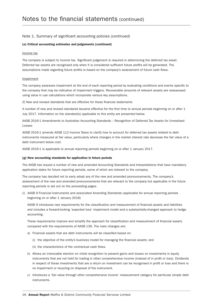# (e) Critical accounting estimates and judgements (continued)

#### Income tax

The company is subject to income tax. Significant judgement is required in determining the deferred tax asset. Deferred tax assets are recognised only when it is considered sufficient future profits will be generated. The assumptions made regarding future profits is based on the company's assessment of future cash flows.

#### **Impairment**

The company assesses impairment at the end of each reporting period by evaluating conditions and events specific to the company that may be indicative of impairment triggers. Recoverable amounts of relevant assets are reassessed using value in use calculations which incorporate various key assumptions.

(f) New and revised standards that are effective for these financial statements

A number of new and revised standards became effective for the first time to annual periods beginning on or after 1 July 2017. Information on the standard(s) applicable to this entity are presented below.

AASB 2016-1 Amendments to Australian Accounting Standards – Recognition of Deferred Tax Assets for Unrealised Losses

AASB 2016-1 amends AASB 112 Income Taxes to clarify how to account for deferred tax assets related to debt instruments measured at fair value, particularly where changes in the market interest rate decrease the fair value of a debt instrument below cost.

AASB 2016-1 is applicable to annual reporting periods beginning on or after 1 January 2017.

### (g) New accounting standards for application in future periods

The AASB has issued a number of new and amended Accounting Standards and Interpretations that have mandatory application dates for future reporting periods, some of which are relevant to the company.

The company has decided not to early adopt any of the new and amended pronouncements. The company's assessment of the new and amended pronouncements that are relevant to the company but applicable in the future reporting periods is set out on the proceeding pages.

(i) AASB 9 Financial Instruments and associated Amending Standards (applicable for annual reporting periods beginning on or after 1 January 2018)

AASB 9 introduces new requirements for the classification and measurement of financial assets and liabilities and includes a forward-looking 'expected loss' impairment model and a substantially-changed approach to hedge accounting.

These requirements improve and simplify the approach for classification and measurement of financial assets compared with the requirements of AASB 139. The main changes are:

- a) Financial assets that are debt instruments will be classified based on:
	- (i) the objective of the entity's business model for managing the financial assets; and
	- (ii) the characteristics of the contractual cash flows.
- b) Allows an irrevocable election on initial recognition to present gains and losses on investments in equity instruments that are not held for trading in other comprehensive income (instead of in profit or loss). Dividends in respect of these investments that are a return on investment can be recognised in profit or loss and there is no impairment or recycling on disposal of the instrument.
- c) Introduces a 'fair value through other comprehensive income' measurement category for particular simple debt instruments.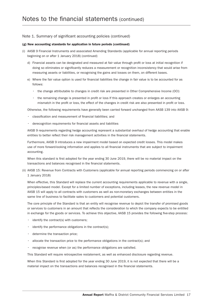# (g) New accounting standards for application in future periods (continued)

- (i) AASB 9 Financial Instruments and associated Amending Standards (applicable for annual reporting periods beginning on or after 1 January 2018) (continued)
	- d) Financial assets can be designated and measured at fair value through profit or loss at initial recognition if doing so eliminates or significantly reduces a measurement or recognition inconsistency that would arise from measuring assets or liabilities, or recognising the gains and losses on them, on different bases.
	- e) Where the fair value option is used for financial liabilities the change in fair value is to be accounted for as follows:
		- the change attributable to changes in credit risk are presented in Other Comprehensive Income (OCI)
		- the remaining change is presented in profit or loss If this approach creates or enlarges an accounting mismatch in the profit or loss, the effect of the changes in credit risk are also presented in profit or loss.

Otherwise, the following requirements have generally been carried forward unchanged from AASB 139 into AASB 9:

- classification and measurement of financial liabilities; and
- derecognition requirements for financial assets and liabilities

AASB 9 requirements regarding hedge accounting represent a substantial overhaul of hedge accounting that enable entities to better reflect their risk management activities in the financial statements.

Furthermore, AASB 9 introduces a new impairment model based on expected credit losses. This model makes use of more forward-looking information and applies to all financial instruments that are subject to impairment accounting.

When this standard is first adopted for the year ending 30 June 2019, there will be no material impact on the transactions and balances recognised in the financial statements.

(ii) AASB 15: Revenue from Contracts with Customers (applicable for annual reporting periods commencing on or after 1 January 2018)

When effective, this Standard will replace the current accounting requirements applicable to revenue with a single, principles-based model. Except for a limited number of exceptions, including leases, the new revenue model in AASB 15 will apply to all contracts with customers as well as non-monetary exchanges between entities in the same line of business to facilitate sales to customers and potential customers.

The core principle of the Standard is that an entity will recognise revenue to depict the transfer of promised goods or services to customers in an amount that reflects the consideration to which the company expects to be entitled in exchange for the goods or services. To achieve this objective, AASB 15 provides the following five-step process:

- identify the contract(s) with customers;
- identify the performance obligations in the contract(s);
- determine the transaction price;
- allocate the transaction price to the performance obligations in the contract(s); and
- recognise revenue when (or as) the performance obligations are satisfied.

This Standard will require retrospective restatement, as well as enhanced disclosure regarding revenue.

When this Standard is first adopted for the year ending 30 June 2019, it is not expected that there will be a material impact on the transactions and balances recognised in the financial statements.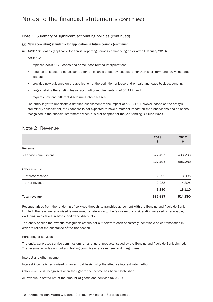#### (g) New accounting standards for application in future periods (continued)

(iii) AASB 16: Leases (applicable for annual reporting periods commencing on or after 1 January 2019)

AASB 16:

- replaces AASB 117 Leases and some lease-related Interpretations;
- requires all leases to be accounted for 'on-balance sheet' by lessees, other than short-term and low value asset leases;
- provides new guidance on the application of the definition of lease and on sale and lease back accounting;
- largely retains the existing lessor accounting requirements in AASB 117; and
- requires new and different disclosures about leases.

The entity is yet to undertake a detailed assessment of the impact of AASB 16. However, based on the entity's preliminary assessment, the Standard is not expected to have a material impact on the transactions and balances recognised in the financial statements when it is first adopted for the year ending 30 June 2020.

# Note 2. Revenue

|                       | 2018<br>\$ | 2017<br>\$ |
|-----------------------|------------|------------|
| Revenue               |            |            |
| - service commissions | 527,497    | 496,280    |
|                       | 527,497    | 496,280    |
| Other revenue         |            |            |
| - interest received   | 2,902      | 3,805      |
| - other revenue       | 2,288      | 14,305     |
|                       | 5,190      | 18,110     |
| <b>Total revenue</b>  | 532,687    | 514,390    |

Revenue arises from the rendering of services through its franchise agreement with the Bendigo and Adelaide Bank LImited. The revenue recognised is measured by reference to the fair value of consideration received or receivable, excluding sales taxes, rebates, and trade discounts.

The entity applies the revenue recognition criteria set out below to each separately identifiable sales transaction in order to reflect the substance of the transaction.

#### Rendering of services

The entity generates service commissions on a range of products issued by the Bendigo and Adelaide Bank Limited. The revenue includes upfront and trailing commissions, sales fees and margin fees.

#### Interest and other income

Interest income is recognised on an accrual basis using the effective interest rate method.

Other revenue is recognised when the right to the income has been established.

All revenue is stated net of the amount of goods and services tax (GST).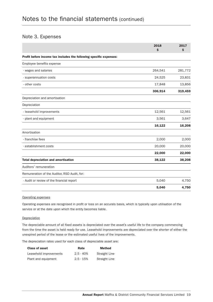# Note 3. Expenses

|                                                                    | 2018<br>S | 2017<br>\$ |
|--------------------------------------------------------------------|-----------|------------|
| Profit before income tax includes the following specific expenses: |           |            |
| Employee benefits expense                                          |           |            |
| - wages and salaries                                               | 264,541   | 281,772    |
| - superannuation costs                                             | 24,525    | 23,831     |
| - other costs                                                      | 17,848    | 13,856     |
|                                                                    | 306,914   | 319,459    |
| Depreciation and amortisation                                      |           |            |
| Depreciation                                                       |           |            |
| - leasehold improvements                                           | 12,561    | 12,561     |
| - plant and equipment                                              | 3,561     | 3,647      |
|                                                                    | 16,122    | 16,208     |
| Amortisation                                                       |           |            |
| - franchise fees                                                   | 2,000     | 2,000      |
| - establishment costs                                              | 20,000    | 20,000     |
|                                                                    | 22,000    | 22,000     |
| <b>Total depreciation and amortisation</b>                         | 38,122    | 38,208     |
| Auditors' remuneration                                             |           |            |
| Remuneration of the Auditor, RSD Audit, for:                       |           |            |
| - Audit or review of the financial report                          | 5,040     | 4,750      |
|                                                                    | 5,040     | 4,750      |

### Operating expenses

Operating expenses are recognised in profit or loss on an accurals basis, which is typically upon utilisation of the service or at the date upon which the entity becomes liable.

### **Depreciation**

The depreciable amount of all fixed assets is depreciated over the asset's useful life to the company commencing from the time the asset is held ready for use. Leasehold improvements are depreciated over the shorter of either the unexpired period of the lease or the estimated useful lives of the improvements.

The depreciation rates used for each class of depreciable asset are:

| <b>Class of asset</b>  | Rate        | Method               |
|------------------------|-------------|----------------------|
| Leasehold improvements | $2.5 - 40%$ | <b>Straight Line</b> |
| Plant and equipment    | $2.5 - 15%$ | <b>Straight Line</b> |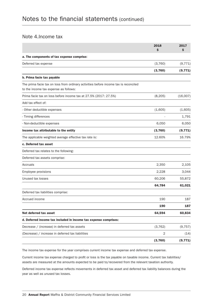# Note 4.Income tax

|                                                                                                                               | 2018<br>s | 2017<br>\$ |
|-------------------------------------------------------------------------------------------------------------------------------|-----------|------------|
| a. The components of tax expense comprise:                                                                                    |           |            |
| Deferred tax expense                                                                                                          | (3,760)   | (9, 771)   |
|                                                                                                                               | (3,760)   | (9,771)    |
| b. Prima facie tax payable                                                                                                    |           |            |
| The prima facie tax on loss from ordinary activities before income tax is reconciled<br>to the income tax expense as follows: |           |            |
| Prima facie tax on loss before income tax at 27.5% (2017: 27.5%)                                                              | (8, 205)  | (16,007)   |
| Add tax effect of:                                                                                                            |           |            |
| - Other deductible expenses                                                                                                   | (1,605)   | (1,605)    |
| - Timing differences                                                                                                          |           | 1,791      |
| - Non-deductible expenses                                                                                                     | 6,050     | 6,050      |
| Income tax attributable to the entity                                                                                         | (3,760)   | (9,771)    |
| The applicable weighted average effective tax rate is:                                                                        | 12.60%    | 16.79%     |
| c. Deferred tax asset                                                                                                         |           |            |
| Deferred tax relates to the following:                                                                                        |           |            |
| Deferred tax assets comprise:                                                                                                 |           |            |
| Accruals                                                                                                                      | 2,350     | 2,105      |
| Employee provisions                                                                                                           | 2,228     | 3,044      |
| Unused tax losses                                                                                                             | 60,206    | 55,872     |
|                                                                                                                               | 64,784    | 61,021     |
| Deferred tax liabilities comprise:                                                                                            |           |            |
| Accrued income                                                                                                                | 190       | 187        |
|                                                                                                                               | 190       | 187        |
| Net deferred tax asset                                                                                                        | 64,594    | 60,834     |
| d. Deferred income tax included in income tax expense comprises:                                                              |           |            |
| Decrease / (increase) in deferred tax assets                                                                                  | (3, 762)  | (9, 757)   |
| (Decrease) / increase in deferred tax liabilities                                                                             | 2         | (14)       |
|                                                                                                                               | (3,760)   | (9,771)    |
|                                                                                                                               |           |            |

The income tax expense for the year comprises current income tax expense and deferred tax expense.

Current income tax expense charged to profit or loss is the tax payable on taxable income. Current tax liabilities/ assets are measured at the amounts expected to be paid to/recovered from the relevant taxation authority.

Deferred income tax expense reflects movements in deferred tax asset and deferred tax liability balances during the year as well as unused tax losses.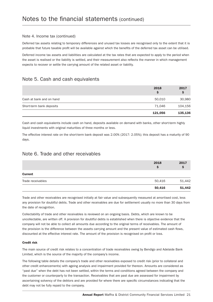# Note 4. Income tax (continued)

Deferred tax assets relating to temporary differences and unused tax losses are recognised only to the extent that it is probable that future taxable profit will be available against which the benefits of the deferred tax asset can be utilised.

Deferred income tax assets and liabilities are calculated at the tax rates that are expected to apply to the period when the asset is realised or the liability is settled, and their measurement also reflects the manner in which management expects to recover or settle the carrying amount of the related asset or liability.

# Note 5. Cash and cash equivalents

|                          | 2018<br>Ş | 2017    |
|--------------------------|-----------|---------|
| Cash at bank and on hand | 50,010    | 30,980  |
| Short-term bank deposits | 71.046    | 104,156 |
|                          | 121,056   | 135,136 |

Cash and cash equivalents include cash on hand, deposits available on demand with banks, other short-term highly liquid investments with original maturities of three months or less.

The effective interest rate on the short-term bank deposit was 2.00% (2017: 2.05%); this deposit has a maturity of 90 days.

# Note 6. Trade and other receivables

|                   | 2018<br>S | 2017   |
|-------------------|-----------|--------|
| <b>Current</b>    |           |        |
| Trade receivables | 50,416    | 51,442 |
|                   | 50,416    | 51,442 |

Trade and other receivables are recognised initially at fair value and subsequently measured at amortised cost, less any provision for doubtful debts. Trade and other receivables are due for settlement usually no more than 30 days from the date of recognition.

Collectability of trade and other receivables is reviewed on an ongoing basis. Debts, which are known to be uncollectable, are written off. A provision for doubtful debts is established when there is objective evidence that the company will not be able to collect all amounts due according to the original terms of receivables. The amount of the provision is the difference between the assets carrying amount and the present value of estimated cash flows, discounted at the effective interest rate. The amount of the provision is recognised on profit or loss.

# Credit risk

The main source of credit risk relates to a concentration of trade receivables owing by Bendigo and Adelaide Bank Limited, which is the source of the majority of the company's income.

The following table details the company's trade and other receivables exposed to credit risk (prior to collateral and other credit enhancements) with ageing analysis and impairment provided for thereon. Amounts are considered as "past due" when the debt has not been settled, within the terms and conditions agreed between the company and the customer or counterparty to the transaction. Receivables that are past due are assessed for impairment by ascertaining solvency of the debtors and are provided for where there are specific circumstances indicating that the debt may not be fully repaid to the company.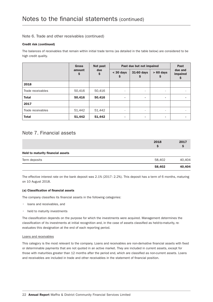# Note 6. Trade and other receivables (continued)

# Credit risk (continued)

The balances of receivables that remain within initial trade terms (as detailed in the table below) are considered to be high credit quality.

|                   | <b>Gross</b> | Not past  | Past due but not impaired | Past                     |                          |                     |
|-------------------|--------------|-----------|---------------------------|--------------------------|--------------------------|---------------------|
|                   | amount<br>\$ | due<br>\$ | $<$ 30 days<br>S          | 31-60 days<br>S          | $> 60$ days              | due and<br>impaired |
| 2018              |              |           |                           |                          |                          |                     |
| Trade receivables | 50,416       | 50,416    | $\sim$                    | $\overline{\phantom{a}}$ | $\sim$                   |                     |
| <b>Total</b>      | 50,416       | 50,416    | $\overline{\phantom{a}}$  | $\overline{\phantom{a}}$ | ٠                        |                     |
| 2017              |              |           |                           |                          |                          |                     |
| Trade receivables | 51,442       | 51,442    | ٠                         | $\overline{\phantom{a}}$ | $\overline{\phantom{a}}$ |                     |
| <b>Total</b>      | 51,442       | 51,442    | $\overline{\phantom{a}}$  |                          | ۰                        |                     |

# Note 7. Financial assets

|                                   | 2018<br>S | 2017   |
|-----------------------------------|-----------|--------|
| Held to maturity financial assets |           |        |
| Term deposits                     | 58,402    | 40,404 |
|                                   | 58,402    | 40,404 |

The effective interest rate on the bank deposit was 2.1% (2017: 2.2%). This deposit has a term of 6 months, maturing on 10 August 2018.

# (a) Classification of financial assets

The company classifies its financial assets in the following categories:

- loans and receivables, and
- held to maturity investments

The classification depends on the purpose for which the investments were acquired. Management determines the classification of its investments at initial recognition and, in the case of assets classified as held-to-maturity, reevaluates this designation at the end of each reporting period.

# Loans and receivables

This category is the most relevant to the company. Loans and receivables are non-derivative financial assets with fixed or determinable payments that are not quoted in an active market. They are included in current assets, except for those with maturities greater than 12 months after the period end, which are classified as non-current assets. Loans and receivables are included in trade and other receivables in the statement of financial position.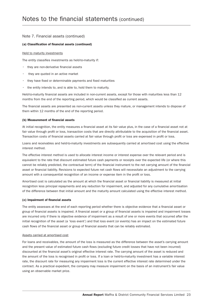# Note 7. Financial assets (continued)

# (a) Classification of financial assets (continued)

### Held to maturity investments

The entity classifies investments as held-to-maturity if:

- they are non-derivative financial assets
- they are quoted in an active market
- they have fixed or determinable payments and fixed maturities
- the entity intends to, and is able to, hold them to maturity.

Held-to-maturity financial assets are included in non-current assets, except for those with maturities less than 12 months from the end of the reporting period, which would be classified as current assets.

The financial assets are presented as non-current assets unless they mature, or management intends to dispose of them within 12 months of the end of the reporting period.

#### (b) Measurement of financial assets

At initial recognition, the entity measures a financial asset at its fair value plus, in the case of a financial asset not at fair value through profit or loss, transaction costs that are directly attributable to the acquisition of the financial asset. Transaction costs of financial assets carried at fair value through profit or loss are expensed in profit or loss.

Loans and receivables and held-to-maturity investments are subsequently carried at amortised cost using the effective interest method.

The effective interest method is used to allocate interest income or interest expense over the relevant period and is equivalent to the rate that discount estimated future cash payments or receipts over the expected life (or where this cannot be reliably predicted, the contractual term) of the financial instrument to the net carrying amount of the financial asset or financial liability. Revisions to expected future net cash flows will necessitate an adjustment to the carrying amount with a consequential recognition of an income or expense item in the profit or loss.

Amortised cost is calculated as the amount at which the financial asset or financial liability is measured at initial recognition less principal repayments and any reduction for impairment, and adjusted for any cumulative amortisation of the difference between that initial amount and the maturity amount calculated using the effective interest method.

### (c) Impairment of financial assets

The entity assesses at the end of each reporting period whether there is objective evidence that a financial asset or group of financial assets is impaired. A financial asset or a group of financial assets is impaired and impairment losses are incurred only if there is objective evidence of impairment as a result of one or more events that occurred after the initial recognition of the asset (a 'loss event') and that loss event (or events) has an impact on the estimated future cash flows of the financial asset or group of financial assets that can be reliably estimated.

### Assets carried at amortised cost

For loans and receivables, the amount of the loss is measured as the difference between the asset's carrying amount and the present value of estimated future cash flows (excluding future credit losses that have not been incurred) discounted at the financial asset's original effective interest rate. The carrying amount of the asset is reduced and the amount of the loss is recognised in profit or loss. If a loan or held-to-maturity investment has a variable interest rate, the discount rate for measuring any impairment loss is the current effective interest rate determined under the contract. As a practical expedient, the company may measure impairment on the basis of an instrument's fair value using an observable market price.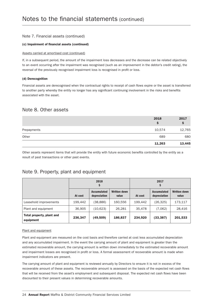# Note 7. Financial assets (continued)

# (c) Impairment of financial assets (continued)

# Assets carried at amortised cost (continued)

If, in a subsequent period, the amount of the impairment loss decreases and the decrease can be related objectively to an event occurring after the impairment was recognised (such as an improvement in the debtor's credit rating), the reversal of the previously recognised impairment loss is recognised in profit or loss.

# (d) Derecognition

Financial assets are derecognised when the contractual rights to receipt of cash flows expire or the asset is transferred to another party whereby the entity no longer has any significant continuing involvement in the risks and benefits associated with the asset.

# Note 8. Other assets

|             | 2018<br>\$ | 2017<br>S |
|-------------|------------|-----------|
| Prepayments | 10,574     | 12,765    |
| Other       | 689        | 680       |
|             | 11,263     | 13,445    |

Other assets represent items that will provide the entity with future economic benefits controlled by the entity as a result of past transactions or other past events.

# Note 9. Property, plant and equipment

|                                        |         | 2018<br>Ş                          |                              |         | 2017                               |                              |
|----------------------------------------|---------|------------------------------------|------------------------------|---------|------------------------------------|------------------------------|
|                                        | At cost | <b>Accumulated</b><br>depreciation | <b>Written down</b><br>value | At cost | <b>Accumulated</b><br>depreciation | <b>Written down</b><br>value |
| Leasehold improvements                 | 199,442 | (38,886)                           | 160,556                      | 199,442 | (26, 325)                          | 173,117                      |
| Plant and equipment                    | 36,905  | (10,623)                           | 26,281                       | 35,478  | (7.062)                            | 28,416                       |
| Total property, plant and<br>equipment | 236,347 | (49,509)                           | 186,837                      | 234,920 | (33,387)                           | 201,533                      |

# Plant and equipment

Plant and equipment are measured on the cost basis and therefore carried at cost less accumulated depreciation and any accumulated impairment. In the event the carrying amount of plant and equipment is greater than the estimated recoverable amount, the carrying amount is written down immediately to the estimated recoverable amount and impairment losses are recognised in profit or loss. A formal assessment of recoverable amount is made when impairment indicators are present.

The carrying amount of plant and equipment is reviewed annually by Directors to ensure it is not in excess of the recoverable amount of these assets. The recoverable amount is assessed on the basis of the expected net cash flows that will be received from the asset's employment and subsequent disposal. The expected net cash flows have been discounted to their present values in determining recoverable amounts.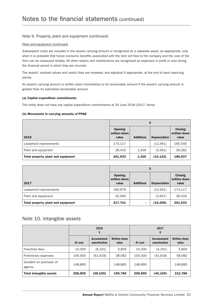# Note 9. Property, plant and equipment (continued)

# Plant and equipment (continued)

Subsequent costs are included in the assets carrying amount or recognised as a separate asset, as appropriate, only when it is probable that future economic benefits associated with the item will flow to the company and the cost of the item can be measured reliably. All other repairs and maintenance are recognised as expenses in profit or loss during the financial period in which they are incurred.

The assets' residual values and useful lives are reviewed, and adjusted if appropriate, at the end of each reporting period.

An asset's carrying amount is written down immediately to its recoverable amount if the asset's carrying amount is greater than its estimated recoverable amount.

# (a) Capital expenditure commitments

The entity does not have any capital expenditure commitments at 30 June 2018 (2017: None)

# (b) Movements in carrying amounts of PP&E

|                                     | \$                                      |                  |                     |                                         |
|-------------------------------------|-----------------------------------------|------------------|---------------------|-----------------------------------------|
| 2018                                | <b>Opening</b><br>written down<br>value | <b>Additions</b> | <b>Depreciation</b> | <b>Closing</b><br>written down<br>value |
| Leasehold improvements              | 173,117                                 |                  | (12, 561)           | 160,556                                 |
| Plant and equipment                 | 28.416                                  | 1,426            | (3,561)             | 26,281                                  |
| Total property, plant and equipment | 201,533                                 | 1.426            | (16, 122)           | 186,837                                 |

|                                     | Ş                                       |                          |                     |                                         |
|-------------------------------------|-----------------------------------------|--------------------------|---------------------|-----------------------------------------|
| 2017                                | <b>Opening</b><br>written down<br>value | <b>Additions</b>         | <b>Depreciation</b> | <b>Closing</b><br>written down<br>value |
| Leasehold improvements              | 185,678                                 | $\overline{\phantom{a}}$ | (12, 561)           | 173,117                                 |
| Plant and equipment                 | 32,063                                  |                          | (3,647)             | 28,416                                  |
| Total property, plant and equipment | 217,741                                 |                          | (16, 208)           | 201,533                                 |

# Note 10. Intangible assets

|                                   | 2018<br>\$ |                                    | 2017<br>২                    |         |                                    |                              |
|-----------------------------------|------------|------------------------------------|------------------------------|---------|------------------------------------|------------------------------|
|                                   | At cost    | <b>Accumulated</b><br>amortisation | <b>Written down</b><br>value | At cost | <b>Accumulated</b><br>amortisation | <b>Written down</b><br>value |
| Franchise fees                    | 10.000     | (6.191)                            | 3.809                        | 10,000  | (4, 191)                           | 5,809                        |
| Preliminary expenses              | 100,000    | (61, 918)                          | 38,082                       | 100,000 | (41, 918)                          | 58,082                       |
| Goodwill on purchase of<br>agency | 148,895    | ۰                                  | 148.895                      | 148,895 | ٠                                  | 148,895                      |
| <b>Total intangible assets</b>    | 258,895    | (68,109)                           | 190,786                      | 258,895 | (46,109)                           | 212,786                      |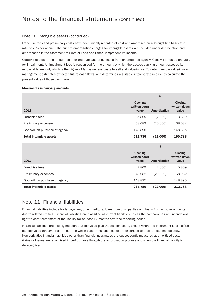# Note 10. Intangible assets (continued)

Franchise fees and preliminary costs have been initially recorded at cost and amortised on a straight line basis at a rate of 20% per annum. The current amortisation charges for intangible assets are included under depreciation and amortisation in the Statement of Profit or Loss and Other Comprehensive Income.

Goodwill relates to the amount paid for the purchase of business from an unrelated agency. Goodwill is tested annually for impairment. An impairment loss is recognised for the amount by which the asset's carrying amount exceeds its recoverable amount, which is the higher of fair value less costs to sell and value-in-use. To determine the value-in-use, management estimates expected future cash flows, and determines a suitable interest rate in order to calculate the present value of those cash flows.

|                                | \$                                      |                     |                                         |
|--------------------------------|-----------------------------------------|---------------------|-----------------------------------------|
| 2018                           | <b>Opening</b><br>written down<br>value | <b>Amortisation</b> | <b>Closing</b><br>written down<br>value |
| Franchise fees                 | 5,809                                   | (2,000)             | 3,809                                   |
| Preliminary expenses           | 58,082                                  | (20,000)            | 38,082                                  |
| Goodwill on purchase of agency | 148,895                                 | ۰.                  | 148,895                                 |
| <b>Total intangible assets</b> | 212,786                                 | (22,000)            | 190,786                                 |

# Movements in carrying amounts

|                                | \$                                      |                          |                                         |
|--------------------------------|-----------------------------------------|--------------------------|-----------------------------------------|
| 2017                           | <b>Opening</b><br>written down<br>value | <b>Amortisation</b>      | <b>Closing</b><br>written down<br>value |
| Franchise fees                 | 7,809                                   | (2,000)                  | 5,809                                   |
| Preliminary expenses           | 78,082                                  | (20,000)                 | 58,082                                  |
| Goodwill on purchase of agency | 148,895                                 | $\overline{\phantom{0}}$ | 148,895                                 |
| <b>Total intangible assets</b> | 234,786                                 | (22,000)                 | 212,786                                 |

# Note 11. Financial liabilities

Financial liabilities include trade payables, other creditors, loans from third parties and loans from or other amounts due to related entities. Financial liabilities are classified as current liabilities unless the company has an unconditional right to defer settlement of the liability for at least 12 months after the reporting period.

Financial liabilities are initially measured at fair value plus transaction costs, except where the instrument is classified as "fair value through profit or loss", in which case transaction costs are expensed to profit or loss immediately. Non-derivative financial liabilities other than financial guarantees are subsequently measured at amortised cost. Gains or losses are recognised in profit or loss through the amortisation process and when the financial liability is derecognised.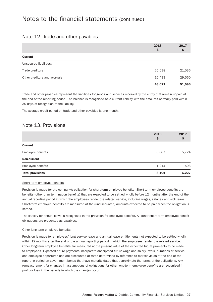# Note 12. Trade and other payables

|                              | 2018<br>Ş | 2017   |
|------------------------------|-----------|--------|
| <b>Current</b>               |           |        |
| Unsecured liabilities:       |           |        |
| Trade creditors              | 26,638    | 21,536 |
| Other creditors and accruals | 16,433    | 29,560 |
|                              | 43,071    | 51,096 |

Trade and other payables represent the liabilities for goods and services received by the entity that remain unpaid at the end of the reporting period. The balance is recognised as a current liability with the amounts normally paid within 30 days of recognition of the liability.

The average credit period on trade and other payables is one month.

# Note 13. Provisions

|                         | 2018<br>Ş | 2017  |
|-------------------------|-----------|-------|
| <b>Current</b>          |           |       |
| Employee benefits       | 6,887     | 5,724 |
| <b>Non-current</b>      |           |       |
| Employee benefits       | 1,214     | 503   |
| <b>Total provisions</b> | 8,101     | 6,227 |

### Short-term employee benefits

Provision is made for the company's obligation for short-term employee benefits. Short-term employee benefits are benefits (other than termination benefits) that are expected to be settled wholly before 12 months after the end of the annual reporting period in which the employees render the related service, including wages, salaries and sick leave. Short-term employee benefits are measured at the (undiscounted) amounts expected to be paid when the obligation is settled.

The liability for annual leave is recognised in the provision for employee benefits. All other short term employee benefit obligations are presented as payables.

# Other long-term employee benefits

Provision is made for employees' long service leave and annual leave entitlements not expected to be settled wholly within 12 months after the end of the annual reporting period in which the employees render the related service. Other long-term employee benefits are measured at the present value of the expected future payments to be made to employees. Expected future payments incorporate anticipated future wage and salary levels, durations of service and employee departures and are discounted at rates determined by reference to market yields at the end of the reporting period on government bonds that have maturity dates that approximate the terms of the obligations. Any remeasurement for changes in assumptions of obligations for other long-term employee benefits are recognised in profit or loss in the periods in which the changes occur.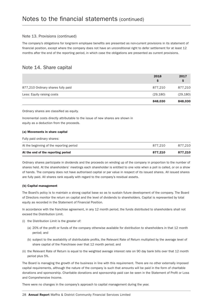# Note 13. Provisions (continued)

The company's obligations for long-term employee benefits are presented as non-current provisions in its statement of financial position, except where the company does not have an unconditional right to defer settlement for at least 12 months after the end of the reporting period, in which case the obligations are presented as current provisions.

# Note 14. Share capital

|                                    | 2018<br>S | 2017      |
|------------------------------------|-----------|-----------|
| 877,210 Ordinary shares fully paid | 877,210   | 877,210   |
| Less: Equity raising costs         | (29, 180) | (29, 180) |
|                                    | 848,030   | 848,030   |

Ordinary shares are classified as equity.

Incremental costs directly attributable to the issue of new shares are shown in equity as a deduction from the proceeds.

# (a) Movements in share capital

Fully paid ordinary shares:

| At the end of the reporting period       | 877.210 | 877,210 |
|------------------------------------------|---------|---------|
| At the beginning of the reporting period | 877.210 | 877.210 |
|                                          |         |         |

Ordinary shares participate in dividends and the proceeds on winding up of the company in proportion to the number of shares held. At the shareholders' meetings each shareholder is entitled to one vote when a poll is called, or on a show of hands. The company does not have authorised capital or par value in respect of its issued shares. All issued shares are fully paid. All shares rank equally with regard to the company's residual assets.

### (b) Capital management

The Board's policy is to maintain a strong capital base so as to sustain future development of the company. The Board of Directors monitor the return on capital and the level of dividends to shareholders. Capital is represented by total equity as recorded in the Statement of Financial Position.

In accordance with the franchise agreement, in any 12 month period, the funds distributed to shareholders shall not exceed the Distribution Limit.

- (i) the Distribution Limit is the greater of:
	- (a) 20% of the profit or funds of the company otherwise available for distribution to shareholders in that 12 month period; and
	- (b) subject to the availability of distributable profits, the Relevant Rate of Return multiplied by the average level of share capital of the Franchisee over that 12 month period; and
- (ii) the Relevant Rate of Return is equal to the weighted average interest rate on 90 day bank bills over that 12 month period plus 5%.

The Board is managing the growth of the business in line with this requirement. There are no other externally imposed capital requirements, although the nature of the company is such that amounts will be paid in the form of charitable donations and sponsorship. Charitable donations and sponsorship paid can be seen in the Statement of Profit or Loss and Comprehensive Income.

There were no changes in the company's approach to capital management during the year.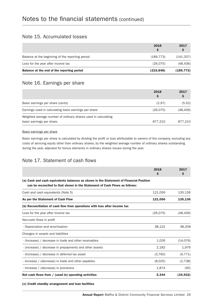# Notes to the financial statements (continued)

# Note 15. Accumulated losses

|                                                  | 2018<br><b>S</b> | 2017       |
|--------------------------------------------------|------------------|------------|
| Balance at the beginning of the reporting period | (189.773)        | (141, 337) |
| Loss for the year after income tax               | (26,075)         | (48, 436)  |
| Balance at the end of the reporting period       | (215, 848)       | (189, 773) |

# Note 16. Earnings per share

|                                                                | 2018<br>\$. | 2017      |
|----------------------------------------------------------------|-------------|-----------|
| Basic earnings per share (cents)                               | (2.97)      | (5.52)    |
| Earnings used in calculating basic earnings per share          | (26, 075)   | (48, 436) |
| Weighted average number of ordinary shares used in calculating |             |           |
| basic earnings per share.                                      | 877,210     | 877.210   |

# Basic earnings per share

Basic earnings per share is calculated by dividing the profit or loss attributable to owners of the company, excluding any costs of servcing equity other than ordinary shares, by the weighted average number of ordinary shares outstanding during the year, adjsuted for bonus elements in ordinary shares issues during the year.

# Note 17. Statement of cash flows

|                                                                                                                                                                      | 2018<br>S | 2017<br>\$ |
|----------------------------------------------------------------------------------------------------------------------------------------------------------------------|-----------|------------|
| (a) Cash and cash equivalents balances as shown in the Statement of Financial Position<br>can be reconciled to that shown in the Statement of Cash Flows as follows: |           |            |
| Cash and cash equivalents (Note 5)                                                                                                                                   | 121,056   | 135,136    |
| As per the Statement of Cash Flow                                                                                                                                    | 121,056   | 135,136    |
| (b) Reconciliation of cash flow from operations with loss after income tax                                                                                           |           |            |
| Loss for the year after income tax                                                                                                                                   | (26, 075) | (48, 436)  |
| Non-cash flows in profit                                                                                                                                             |           |            |
| - Depreciation and amortisation                                                                                                                                      | 38,122    | 38,208     |
| Changes in assets and liabilities                                                                                                                                    |           |            |
| - (Increase) / decrease in trade and other receivables                                                                                                               | 1,026     | (14,076)   |
| - (increase) / decrease in prepayments and other assets                                                                                                              | 2,182     | 1.976      |
| - (Increase) / decrease in deferred tax asset                                                                                                                        | (3,760)   | (9, 771)   |
| - Increase / (decrease) in trade and other payables                                                                                                                  | (8,025)   | (2,738)    |
| - Increase / (decrease) in provisions                                                                                                                                | 1,874     | (95)       |
| Net cash flows from $/$ (used in) operating activities                                                                                                               | 5,344     | (34, 932)  |

(c) Credit standby arrangement and loan facilities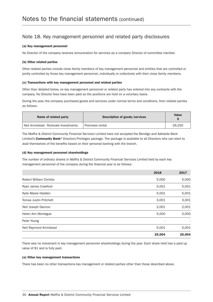# Note 18. Key management personnel and related party disclosures

# (a) Key management personnel

No Director of the company receives remuneration for services as a company Director of committee member.

# (b) Other related parties

Other related parties include close family members of key management personnel and entities that are controlled or jointly controlled by those key management personnel, individually or collectively with their close family members.

# (c) Transactions with key management personnel and related parties

Other than detailed below, no key management personnel or related party has entered into any contracts with the company. No Director fees have been paid as the positions are held on a voluntary basis.

During the year, the company purchased goods and services under normal terms and conditions, from related parties as follows:

| Name of related party                 | Description of goods/services | <b>Value</b> |
|---------------------------------------|-------------------------------|--------------|
| Neil Armistead - Rockvale Investments | Premises rental               | 26,250       |

The Maffra & District Community Financial Services Limited have not accepted the Bendigo and Adelaide Bank Limited's Community Bank® Directors Privileges package. The package is available to all Directors who can elect to avail themselves of the benefits based on their personal banking with the branch.

# (d) Key management personnel shareholdings

The number of ordinary shares in Maffra & District Community Financial Services Limited held by each key management personnel of the company during the financial year is as follows:

|                                | 2018   | 2017   |
|--------------------------------|--------|--------|
| <b>Robert William Christie</b> | 5,000  | 5,000  |
| Ryan James Crawford            | 5,001  | 5,001  |
| Kylie Maree Hadden             | 5,001  | 5,001  |
| <b>Tomas Justin Pritchett</b>  | 3,001  | 3,001  |
| Neil Joseph Gannon             | 2,001  | 2,001  |
| Helen Ann Montague             | 5,000  | 5,000  |
| Peter Young                    |        |        |
| Neil Raymond Armistead         | 5,001  | 5,001  |
|                                | 25,004 | 25,004 |

There was no movement in key management personnel shareholdings during the year. Each share held has a paid up value of \$1 and is fully paid.

### (e) Other key management transactions

There has been no other transactions key management or related parties other than those described above.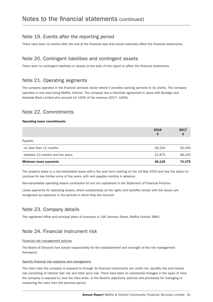# Note 19. Events after the reporting period

There have been no events after the end of the financial year that would materially affect the financial statements.

# Note 20. Contingent liabilities and contingent assets

There were no contingent liabilities or assets at the date of this report to affect the financial statements.

# Note 21. Operating segments

The company operates in the financial services sector where it provides banking services to its clients. The company operates in one area being Maffra, Victoria. The company has a franchise agreement in place with Bendigo and Adelaide Bank Limited who account for 100% of the revenue (2017: 100%).

# Note 22. Commitments

# Operating lease commitments

|                                    | 2018<br>\$. | 2017   |
|------------------------------------|-------------|--------|
| Payable:                           |             |        |
| - no later than 12 months          | 26,250      | 26,250 |
| - between 12 months and five years | 21,875      | 48,125 |
| <b>Minimum lease payments</b>      | 48,125      | 74,375 |

The property lease is a non-cancellable lease with a five year term expiring on the 18 May 2020 and has the option to continue for two further erms of five years, with rent payable monthly in advance.

Non-cancellable operating leases contracted for but not capitalised in the Statement of Financial Position.

Lease payments for operating leases, where substantially all the rights and benefits remain with the lessor, are recognised as expenses in the periods in which they are incurred.

# Note 23. Company details

The registered office and principal place of business is 146 Johnson Street, Maffra Victoria 3860.

# Note 24. Financial instrument risk

# Financial risk management policies

The Board of Directors has overall responsibility for the establishment and oversight of the risk management framework.

### Specific financial risk exposure and management

The main risks the company is exposed to through its financial instruments are credit risk, liquidity risk and market risk consisting of interest rate risk and other price risk. There have been no substantial changes in the types of risks the company is exposed to, how the risks arise, or the Board's objectives, policies and processes for managing or measuring the risks from the previous period.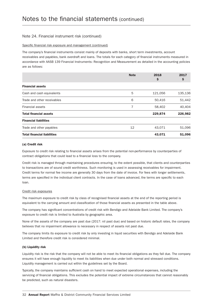# Note 24. Financial instrument risk (continued)

### Specific financial risk exposure and management (continued)

The company's financial instruments consist mainly of deposits with banks, short term investments, account receivables and payables, bank overdraft and loans. The totals for each category of financial instruments measured in accordance with AASB 139 Financial Instruments: Recognition and Measurement as detailed in the accounting policies are as follows:

|                                    | <b>Note</b> | 2018<br>\$ | 2017<br>\$ |
|------------------------------------|-------------|------------|------------|
| <b>Financial assets</b>            |             |            |            |
| Cash and cash equivalents          | 5           | 121,056    | 135,136    |
| Trade and other receivables        | 6           | 50,416     | 51,442     |
| <b>Financial assets</b>            | 7           | 58,402     | 40,404     |
| <b>Total financial assets</b>      |             | 229,874    | 226,982    |
| <b>Financial liabilities</b>       |             |            |            |
| Trade and other payables           | 12          | 43,071     | 51,096     |
| <b>Total financial liabilities</b> |             | 43,071     | 51,096     |

### (a) Credit risk

Exposure to credit risk relating to financial assets arises from the potential non-performance by counterparties of contract obligations that could lead to a financial loss to the company.

Credit risk is managed through maintaining procedures ensuring, to the extent possible, that clients and counterparties to transactions are of sound credit worthiness. Such monitoring is used in assessing receivables for impairment. Credit terms for normal fee income are generally 30 days from the date of invoice. For fees with longer settlements, terms are specified in the individual client contracts. In the case of loans advanced, the terms are specific to each loan.

### Credit risk exposures

The maximum exposure to credit risk by class of recognised financial assets at the end of the reporting period is equivalent to the carrying amount and classification of those financial assets as presented in the table above.

The company has significant concentrations of credit risk with Bendigo and Adelaide Bank Limited. The company's exposure to credit risk is limited to Australia by geographic area.

None of the assets of the company are past due (2017: nil past due) and based on historic default rates, the company believes that no impairment allowance is necessary in respect of assets not past due.

The company limits its exposure to credit risk by only investing in liquid securities with Bendigo and Adelaide Bank Limited and therefore credit risk is considered minimal.

### (b) Liquidity risk

Liquidity risk is the risk that the company will not be able to meet its financial obligations as they fall due. The company ensures it will have enough liquidity to meet its liabilities when due under both normal and stressed conditions. Liquidity management is carried out within the guidelines set by the Board.

Typically, the company maintains sufficient cash on hand to meet expected operational expenses, including the servicing of financial obligations. This excludes the potential impact of extreme circumstances that cannot reasonably be predicted, such as natural disasters.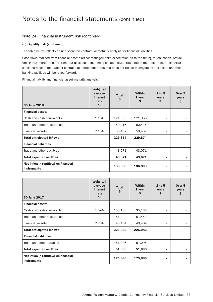# Note 24. Financial instrument risk (continued)

# (b) Liquidity risk (continued)

The table below reflects an undiscounted contractual maturity analysis for financial liabilities.

Cash flows realised from financial assets reflect management's expectation as to the timing of realisation. Actual timing may therefore differ from that disclosed. The timing of cash flows presented in the table to settle financial liabilities reflects the earliest contractual settlement dates and does not reflect management's expectations that banking facilities will be rolled forward.

Financial liability and financial asset maturity analysis:

| 30 June 2018                                              | Weighted<br>average<br><i>interest</i><br>rate<br>$\frac{0}{0}$ | <b>Total</b><br>S | <b>Within</b><br>1 year<br>\$ | $1$ to 5<br>years<br>S | Over <sub>5</sub><br>years<br>\$ |
|-----------------------------------------------------------|-----------------------------------------------------------------|-------------------|-------------------------------|------------------------|----------------------------------|
| <b>Financial assets</b>                                   |                                                                 |                   |                               |                        |                                  |
| Cash and cash equivalents                                 | 1.18%                                                           | 121,056           | 121,056                       |                        |                                  |
| Trade and other receivables                               |                                                                 | 50,416            | 50,416                        |                        |                                  |
| <b>Financial assets</b>                                   | 2.10%                                                           | 58,402            | 58,402                        | ٠                      |                                  |
| <b>Total anticipated inflows</b>                          |                                                                 | 229,874           | 229,874                       |                        |                                  |
| <b>Financial liabilities</b>                              |                                                                 |                   |                               |                        |                                  |
| Trade and other payables                                  |                                                                 | 43,071            | 43,071                        | ٠                      |                                  |
| <b>Total expected outflows</b>                            |                                                                 | 43,071            | 43,071                        |                        |                                  |
| Net inflow / (outflow) on financial<br><b>instruments</b> |                                                                 | 186,803           | 186,803                       |                        |                                  |

| 30 June 2017                                                | Weighted<br>average<br><i>interest</i><br>rate<br>$\frac{0}{0}$ | <b>Total</b><br>\$ | <b>Within</b><br>1 year<br>\$ | $1$ to $5$<br>years<br>S | Over <sub>5</sub><br>years<br>\$ |
|-------------------------------------------------------------|-----------------------------------------------------------------|--------------------|-------------------------------|--------------------------|----------------------------------|
| <b>Financial assets</b>                                     |                                                                 |                    |                               |                          |                                  |
| Cash and cash equivalents                                   | 1.59%                                                           | 135,136            | 135,136                       |                          |                                  |
| Trade and other receivables                                 |                                                                 | 51,442             | 51,442                        |                          |                                  |
| <b>Financial assets</b>                                     | 2.25%                                                           | 40,404             | 40,404                        | ٠                        |                                  |
| <b>Total anticipated inflows</b>                            |                                                                 | 226,982            | 226,982                       |                          |                                  |
| <b>Financial liabilities</b>                                |                                                                 |                    |                               |                          |                                  |
| Trade and other payables                                    |                                                                 | 51,096             | 51,096                        | ۰                        |                                  |
| <b>Total expected outflows</b>                              |                                                                 | 51,096             | 51,096                        | ۰                        |                                  |
| Net inflow $/$ (outflow) on financial<br><b>instruments</b> |                                                                 | 175,886            | 175,886                       |                          |                                  |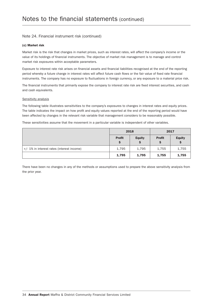# Note 24. Financial instrument risk (continued)

# (c) Market risk

Market risk is the risk that changes in market prices, such as interest rates, will affect the company's income or the value of its holdings of financial instruments. The objective of market risk management is to manage and control market risk exposures within acceptable parameters.

Exposure to interest rate risk arises on financial assets and financial liabilities recognised at the end of the reporting period whereby a future change in interest rates will affect future cash flows or the fair value of fixed rate financial instruments. The company has no exposure to fluctuations in foreign currency, or any exposure to a material price risk.

The financial instruments that primarily expose the company to interest rate risk are fixed interest securities, and cash and cash equivalents.

# Sensitivity analysis

The following table illustrates sensitivities to the company's exposures to changes in interest rates and equity prices. The table indicates the impact on how profit and equity values reported at the end of the reporting period would have been affected by changes in the relevant risk variable that management considers to be reasonably possible.

These sensitivities assume that the movement in a particular variable is independent of other variables.

|                                            | 2018          |                     | 2017          |                               |
|--------------------------------------------|---------------|---------------------|---------------|-------------------------------|
|                                            | <b>Profit</b> | <b>Equity</b><br>\$ | <b>Profit</b> | <b>Equity</b><br>$\mathsf{S}$ |
| +/- 1% in interest rates (interest income) | 1,795         | 1,795               | 1,755         | 1,755                         |
|                                            | 1,795         | 1,795               | 1,755         | 1,755                         |

There have been no changes in any of the methods or assumptions used to prepare the above sensitivity analysis from the prior year.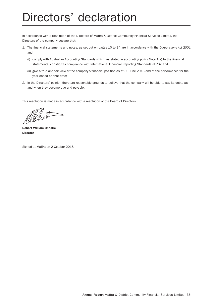# Directors' declaration

In accordance with a resolution of the Directors of Maffra & District Community Financial Services Limited, the Directors of the company declare that:

- 1. The financial statements and notes, as set out on pages 10 to 34 are in accordance with the *Corporations Act 2001* and:
	- (i) comply with Australian Accounting Standards which, as stated in accounting policy Note 1(a) to the financial statements, constitutes compliance with International Financial Reporting Standards (IFRS); and
	- (ii) give a true and fair view of the company's financial position as at 30 June 2018 and of the performance for the year ended on that date;
- 2. In the Directors' opinion there are reasonable grounds to believe that the company will be able to pay its debts as and when they become due and payable.

This resolution is made in accordance with a resolution of the Board of Directors.

Webst

Robert William Christie **Director** 

Signed at Maffra on 2 October 2018.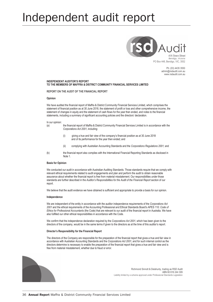# Independent audit report



Ph: (03) 4435 3550 admin@rsdaudit.com.au www.rsdaudit.com.au

#### INDEPENDENT AUDITOR'S REPORT TO THE MEMBERS OF MAFFRA & DISTRICT COMMUNITY FINANCIAL SERVICES LIMITED

REPORT ON THE AUDIT OF THE FINANCIAL REPORT

#### Opinion

We have audited the financial report of Maffra & District Community Financial Services Limited, which comprises the statement of financial position as at 30 June 2018, the statement of profit or loss and other comprehensive income, the statement of changes in equity and the statement of cash flows for the year then ended, and notes to the financial statements, including a summary of significant accounting policies and the directors' declaration.

In our opinion:

- (a) the financial report of Maffra & District Community Financial Services Limited is in accordance with the Corporations Act 2001, including:
	- (i) giving a true and fair view of the company's financial position as at 30 June 2018 and of its performance for the year then ended; and
	- (ii) complying with Australian Accounting Standards and the Corporations Regulations 2001; and
- (b) the financial report also complies with the International Financial Reporting Standards as disclosed in Note 1.

#### Basis for Opinion

We conducted our audit in accordance with Australian Auditing Standards. Those standards require that we comply with relevant ethical requirements related to audit engagements and plan and perform the audit to obtain reasonable assurance about whether the financial report is free from material misstatement. Our responsibilities under those standards are further described in the Auditor's Responsibilities for the Audit of the Financial Report section of our report.

We believe that the audit evidence we have obtained is sufficient and appropriate to provide a basis for our opinion.

#### Independence

We are independent of the entity in accordance with the auditor independence requirements of the Corporations Act 2001 and the ethical requirements of the Accounting Professional and Ethical Standards Board's APES 110: Code of Ethics for Professional Accountants (the Code) that are relevant to our audit of the financial report in Australia. We have also fulfilled our other ethical responsibilities in accordance with the Code.

We confirm that the independence declaration required by the Corporations Act 2001, which has been given to the directors of the company, would be in the same terms if given to the directors as at the time of this auditor's report.

#### Director's Responsibility for the Financial Report

The directors of the Company are responsible for the preparation of the financial report that gives a true and fair view in accordance with Australian Accounting Standards and the Corporations Act 2001, and for such internal control as the directors determine is necessary to enable the preparation of the financial report that gives a true and fair view and is free from material misstatement, whether due to fraud or error.



Richmond Sinnott & Delahunty, trading as RSD Audit ABN 60 616 244 309 Liability limited by a scheme approved under Professional Standards Legislation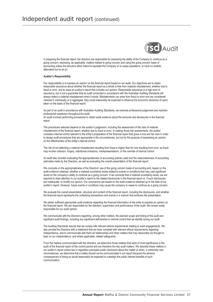

In preparing the financial report, the directors are responsible for assessing the ability of the Company to continue as a going concern, disclosing, as applicable, matters related to going concern and using the going concern basis of accounting unless the directors either intend to liquidate the Company or to cease operations, or have no realistic alternative but to do so.

#### Auditor's Responsibility

Our responsibility is to express an opinion on the financial report based on our audit. Our objectives are to obtain reasonable assurance about whether the financial report as a whole is free from material misstatement, whether due to fraud or error, and to issue an auditor's report that includes our opinion. Reasonable assurance is a high level of assurance, but is not a guarantee that an audit conducted in accordance with the Australian Auditing Standards will always detect a material misstatement when it exists. Misstatements can arise from fraud or error and are considered material if, individually or in aggregate, they could reasonably be expected to influence the economic decisions of users taken on the basis of this financial report.

As part of an audit in accordance with Australian Auditing Standards, we exercise professional judgement and maintain professional scepticism throughout the audit.

An audit involves performing procedures to obtain audit evidence about the amounts and disclosures in the financial report.

The procedures selected depend on the auditor's judgement, including the assessment of the risks of material misstatement of the financial report, whether due to fraud or error. In making those risk assessments, the auditor considers internal control relevant to the entity's preparation of the financial report that gives a true and fair view in order to design audit procedures that are appropriate in the circumstances, but not for the purpose of expressing an opinion on the effectiveness of the entity's internal control.

The risk of not detecting a material misstatement resulting from fraud is higher than for one resulting from error, as fraud may involve collusion, forgery, intentional omissions, misrepresentations, or the override of internal control.

An audit also includes evaluating the appropriateness of accounting policies used and the reasonableness of accounting estimates made by the Directors, as well as evaluating the overall presentation of the financial report.

We conclude on the appropriateness of the Directors' use of the going concern basis of accounting and, based on the audit evidence obtained, whether a material uncertainty exists related to events or conditions that may cast significant doubt on the company's ability to continue as a going concern. If we conclude that a material uncertainty exists, we are required to draw attention in our auditor's report to the related disclosures in the financial report or, if such disclosures are inadequate, to modify our opinion. Our conclusions are based on the audit evidence obtained up to the date of our auditor's report. However, future events or conditions may cause the company to cease to continue as a going concern.

We evaluate the overall presentation, structure and content of the financial report, including the disclosures, and whether the financial report represents the underlying transactions and events in a manner that achieves fair presentation.

We obtain sufficient appropriate audit evidence regarding the financial information of the entity to express an opinion on the financial report. We are responsible for the direction, supervision and performance of the audit. We remain solely responsible for our audit opinion.

We communicate with the Directors regarding, among other matters, the planned scope and timing of the audit and significant audit findings, including any significant deficiencies in internal control that we identify during our audit.

The Auditing Standards require that we comply with relevant ethical requirements relating to audit engagements. We also provide the Directors with a statement that we have complied with relevant ethical requirements regarding independence, and to communicate with them all relationships and other matters that may reasonably be thought to bear on our independence, and where applicable, related safeguards.

From the matters communicated with the directors, we determine those matters that were of most significance in the audit of the financial report of the current period and are therefore the key audit matters. We describe these matters in our auditor's report unless law or regulation precludes public disclosure about the matter or when, in extremely rare circumstances, we determine that a matter should not be communicated in our report because the adverse consequences of doing so would reasonably be expected to outweigh the public interest benefits of such communication.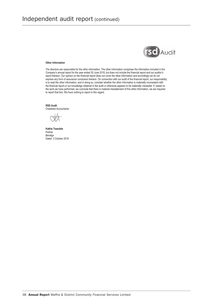

#### Other Information

The directors are responsible for the other information. The other information comprises the information included in the Company's annual report for the year ended 30 June 2018, but does not include the financial report and our auditor's report thereon. Our opinion on the financial report does not cover the other information and accordingly we do not express any form of assurance conclusion thereon. On connection with our audit of the financial report, our responsibility is to read the other information, and in doing so, consider whether the other information is materially inconsistent with the financial report or our knowledge obtained in the audit or otherwise appears to be materially misstated. If, based on the work we have performed, we conclude that there is material misstatement of this other information, we are required to report that fact. We have nothing to report in this regard.

RSD Audit Chartered Accountants

Kathie Teasdale Partner Bendigo Dated: 3 October 2018